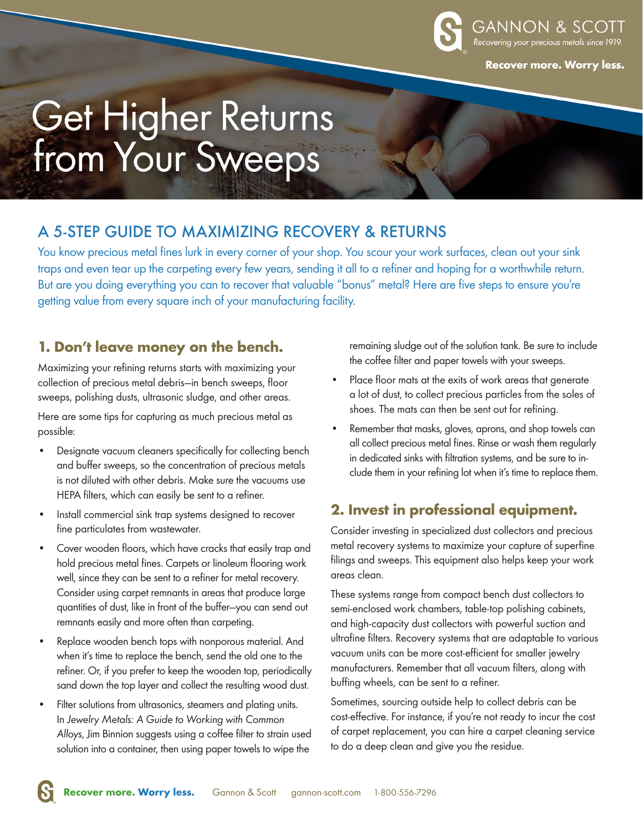

**Recover more. Worry less.** 

# Get Higher Returns<br>from Your Sweeps

# A 5-STEP GUIDE TO MAXIMIZING RECOVERY & RETURNS

You know precious metal fines lurk in every corner of your shop. You scour your work surfaces, clean out your sink traps and even tear up the carpeting every few years, sending it all to a refiner and hoping for a worthwhile return. But are you doing everything you can to recover that valuable "bonus" metal? Here are five steps to ensure you're getting value from every square inch of your manufacturing facility.

#### **1. Don't leave money on the bench.**

Maximizing your refining returns starts with maximizing your collection of precious metal debris—in bench sweeps, floor sweeps, polishing dusts, ultrasonic sludge, and other areas.

Here are some tips for capturing as much precious metal as possible:

- Designate vacuum cleaners specifically for collecting bench and buffer sweeps, so the concentration of precious metals is not diluted with other debris. Make sure the vacuums use HEPA filters, which can easily be sent to a refiner.
- Install commercial sink trap systems designed to recover fine particulates from wastewater.
- Cover wooden floors, which have cracks that easily trap and hold precious metal fines. Carpets or linoleum flooring work well, since they can be sent to a refiner for metal recovery. Consider using carpet remnants in areas that produce large quantities of dust, like in front of the buffer—you can send out remnants easily and more often than carpeting.
- Replace wooden bench tops with nonporous material. And when it's time to replace the bench, send the old one to the refiner. Or, if you prefer to keep the wooden top, periodically sand down the top layer and collect the resulting wood dust.
- Filter solutions from ultrasonics, steamers and plating units. In *Jewelry Metals: A Guide to Working with Common Alloys*, Jim Binnion suggests using a coffee filter to strain used solution into a container, then using paper towels to wipe the

remaining sludge out of the solution tank. Be sure to include the coffee filter and paper towels with your sweeps.

- Place floor mats at the exits of work areas that generate a lot of dust, to collect precious particles from the soles of shoes. The mats can then be sent out for refining.
- Remember that masks, gloves, aprons, and shop towels can all collect precious metal fines. Rinse or wash them regularly in dedicated sinks with filtration systems, and be sure to include them in your refining lot when it's time to replace them.

## **2. Invest in professional equipment.**

Consider investing in specialized dust collectors and precious metal recovery systems to maximize your capture of superfine filings and sweeps. This equipment also helps keep your work areas clean.

These systems range from compact bench dust collectors to semi-enclosed work chambers, table-top polishing cabinets, and high-capacity dust collectors with powerful suction and ultrafine filters. Recovery systems that are adaptable to various vacuum units can be more cost-efficient for smaller jewelry manufacturers. Remember that all vacuum filters, along with buffing wheels, can be sent to a refiner.

Sometimes, sourcing outside help to collect debris can be cost-effective. For instance, if you're not ready to incur the cost of carpet replacement, you can hire a carpet cleaning service to do a deep clean and give you the residue.